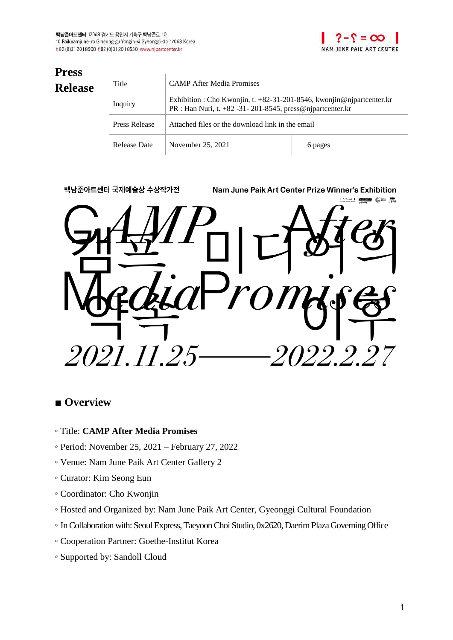

| <b>Press</b>   |               |                                                                                                                                           |         |
|----------------|---------------|-------------------------------------------------------------------------------------------------------------------------------------------|---------|
| <b>Release</b> | Title         | <b>CAMP</b> After Media Promises                                                                                                          |         |
|                | Inquiry       | Exhibition : Cho Kwonjin, t. $+82-31-201-8546$ , kwonjin@njpartcenter.kr<br>PR : Han Nuri, t. +82 -31 - 201 - 8545, press@njpartcenter.kr |         |
|                | Press Release | Attached files or the download link in the email                                                                                          |         |
|                | Release Date  | November 25, 2021                                                                                                                         | 6 pages |



### ■ **Overview**

- Title: **CAMP After Media Promises**
- Period: November 25, 2021 February 27, 2022
- Venue: Nam June Paik Art Center Gallery 2
- Curator: Kim Seong Eun
- Coordinator: Cho Kwonjin
- Hosted and Organized by: Nam June Paik Art Center, Gyeonggi Cultural Foundation
- InCollaboration with: Seoul Express,TaeyoonChoi Studio, 0x2620, DaerimPlazaGoverningOffice
- Cooperation Partner: Goethe-Institut Korea
- Supported by: Sandoll Cloud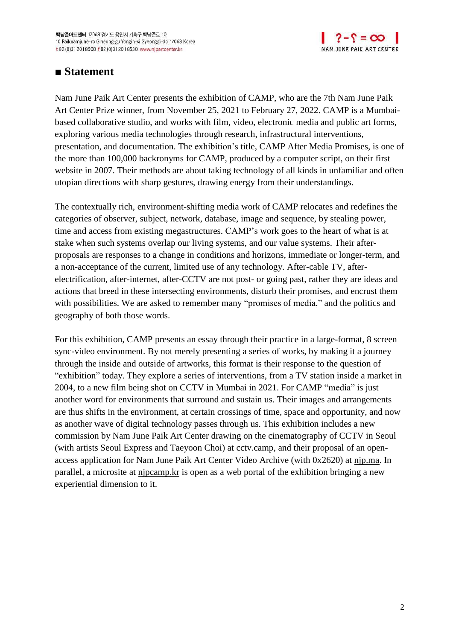

### ■ Statement

Nam June Paik Art Center presents the exhibition of CAMP, who are the 7th Nam June Paik Art Center Prize winner, from November 25, 2021 to February 27, 2022. CAMP is a Mumbaibased collaborative studio, and works with film, video, electronic media and public art forms, exploring various media technologies through research, infrastructural interventions, presentation, and documentation. The exhibition's title, CAMP After Media Promises, is one of the more than 100,000 backronyms for CAMP, produced by a computer script, on their first website in 2007. Their methods are about taking technology of all kinds in unfamiliar and often utopian directions with sharp gestures, drawing energy from their understandings.

The contextually rich, environment-shifting media work of CAMP relocates and redefines the categories of observer, subject, network, database, image and sequence, by stealing power, time and access from existing megastructures. CAMP's work goes to the heart of what is at stake when such systems overlap our living systems, and our value systems. Their afterproposals are responses to a change in conditions and horizons, immediate or longer-term, and a non-acceptance of the current, limited use of any technology. After-cable TV, afterelectrification, after-internet, after-CCTV are not post- or going past, rather they are ideas and actions that breed in these intersecting environments, disturb their promises, and encrust them with possibilities. We are asked to remember many "promises of media," and the politics and geography of both those words.

For this exhibition, CAMP presents an essay through their practice in a large-format, 8 screen sync-video environment. By not merely presenting a series of works, by making it a journey through the inside and outside of artworks, this format is their response to the question of "exhibition" today. They explore a series of interventions, from a TV station inside a market in 2004, to a new film being shot on CCTV in Mumbai in 2021. For CAMP "media" is just another word for environments that surround and sustain us. Their images and arrangements are thus shifts in the environment, at certain crossings of time, space and opportunity, and now as another wave of digital technology passes through us. This exhibition includes a new commission by Nam June Paik Art Center drawing on the cinematography of CCTV in Seoul (with artists Seoul Express and Taeyoon Choi) at cctv.camp, and their proposal of an openaccess application for Nam June Paik Art Center Video Archive (with 0x2620) at njp.ma. In parallel, a microsite at njpcamp.kr is open as a web portal of the exhibition bringing a new experiential dimension to it.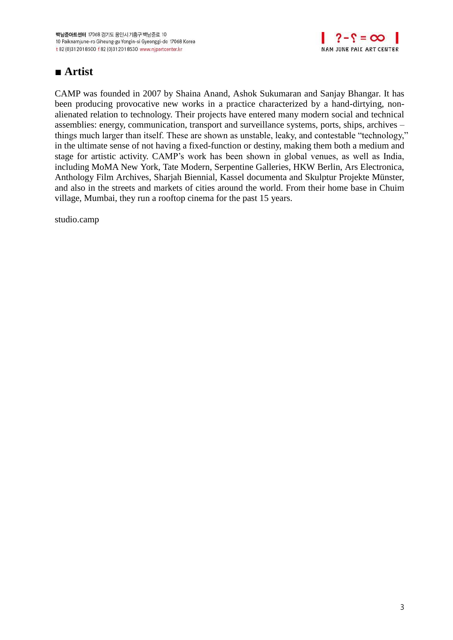

## **■ Artist**

CAMP was founded in 2007 by Shaina Anand, Ashok Sukumaran and Sanjay Bhangar. It has been producing provocative new works in a practice characterized by a hand-dirtying, nonalienated relation to technology. Their projects have entered many modern social and technical assemblies: energy, communication, transport and surveillance systems, ports, ships, archives – things much larger than itself. These are shown as unstable, leaky, and contestable "technology," in the ultimate sense of not having a fixed-function or destiny, making them both a medium and stage for artistic activity. CAMP's work has been shown in global venues, as well as India, including MoMA New York, Tate Modern, Serpentine Galleries, HKW Berlin, Ars Electronica, Anthology Film Archives, Sharjah Biennial, Kassel documenta and Skulptur Projekte Münster, and also in the streets and markets of cities around the world. From their home base in Chuim village, Mumbai, they run a rooftop cinema for the past 15 years.

studio.camp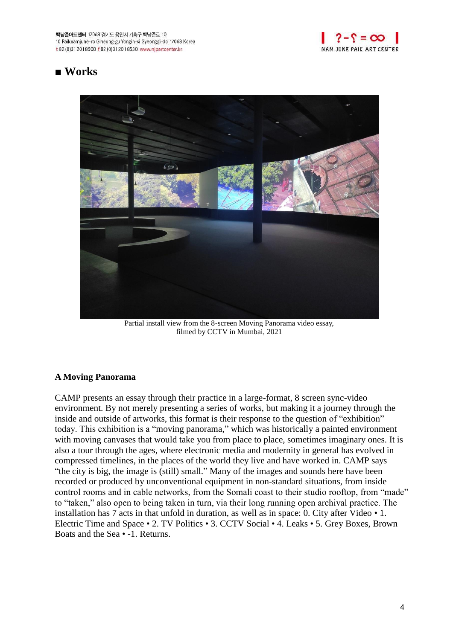

## **■ Works**



Partial install view from the 8-screen Moving Panorama video essay, filmed by CCTV in Mumbai, 2021

#### **A Moving Panorama**

CAMP presents an essay through their practice in a large-format, 8 screen sync-video environment. By not merely presenting a series of works, but making it a journey through the inside and outside of artworks, this format is their response to the question of "exhibition" today. This exhibition is a "moving panorama," which was historically a painted environment with moving canvases that would take you from place to place, sometimes imaginary ones. It is also a tour through the ages, where electronic media and modernity in general has evolved in compressed timelines, in the places of the world they live and have worked in. CAMP says "the city is big, the image is (still) small." Many of the images and sounds here have been recorded or produced by unconventional equipment in non-standard situations, from inside control rooms and in cable networks, from the Somali coast to their studio rooftop, from "made" to "taken," also open to being taken in turn, via their long running open archival practice. The installation has 7 acts in that unfold in duration, as well as in space: 0. City after Video • 1. Electric Time and Space • 2. TV Politics • 3. CCTV Social • 4. Leaks • 5. Grey Boxes, Brown Boats and the Sea • -1. Returns.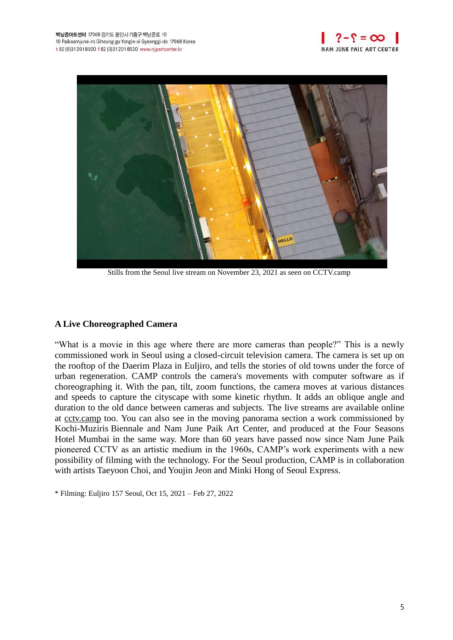



Stills from the Seoul live stream on November 23, 2021 as seen on CCTV.camp

#### **A Live Choreographed Camera**

"What is a movie in this age where there are more cameras than people?" This is a newly commissioned work in Seoul using a closed-circuit television camera. The camera is set up on the rooftop of the Daerim Plaza in Euljiro, and tells the stories of old towns under the force of urban regeneration. CAMP controls the camera's movements with computer software as if choreographing it. With the pan, tilt, zoom functions, the camera moves at various distances and speeds to capture the cityscape with some kinetic rhythm. It adds an oblique angle and duration to the old dance between cameras and subjects. The live streams are available online at cctv.camp too. You can also see in the moving panorama section a work commissioned by Kochi-Muziris Biennale and Nam June Paik Art Center, and produced at the Four Seasons Hotel Mumbai in the same way. More than 60 years have passed now since Nam June Paik pioneered CCTV as an artistic medium in the 1960s, CAMP's work experiments with a new possibility of filming with the technology. For the Seoul production, CAMP is in collaboration with artists Taeyoon Choi, and Youjin Jeon and Minki Hong of Seoul Express.

\* Filming: Euljiro 157 Seoul, Oct 15, 2021 – Feb 27, 2022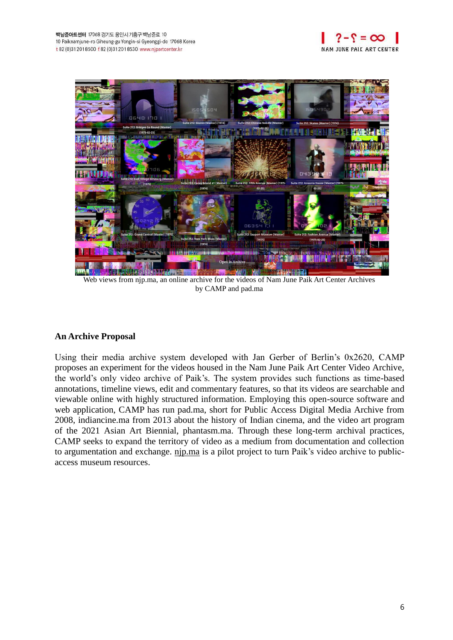



Web views from njp.ma, an online archive for the videos of Nam June Paik Art Center Archives by CAMP and pad.ma

#### **An Archive Proposal**

Using their media archive system developed with Jan Gerber of Berlin's 0x2620, CAMP proposes an experiment for the videos housed in the Nam June Paik Art Center Video Archive, the world's only video archive of Paik's. The system provides such functions as time-based annotations, timeline views, edit and commentary features, so that its videos are searchable and viewable online with highly structured information. Employing this open-source software and web application, CAMP has run pad.ma, short for Public Access Digital Media Archive from 2008, indiancine.ma from 2013 about the history of Indian cinema, and the video art program of the 2021 Asian Art Biennial, phantasm.ma. Through these long-term archival practices, CAMP seeks to expand the territory of video as a medium from documentation and collection to argumentation and exchange. njp.ma is a pilot project to turn Paik's video archive to publicaccess museum resources.